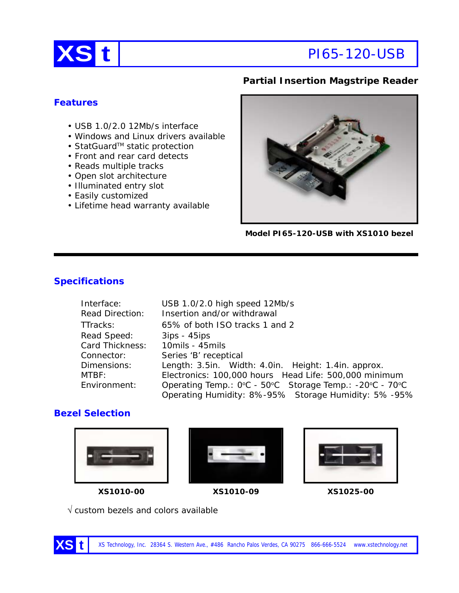

# **Partial Insertion Magstripe Reader**

### **Features**

- USB 1.0/2.0 12Mb/s interface
- Windows and Linux drivers available
- StatGuard™ static protection
- Front and rear card detects
- Reads multiple tracks
- Open slot architecture
- Illuminated entry slot
- Easily customized
- Lifetime head warranty available



**Model PI65-120-USB with XS1010 bezel**

#### **Specifications**

| Interface:             | USB 1.0/2.0 high speed 12Mb/s                           |  |
|------------------------|---------------------------------------------------------|--|
| <b>Read Direction:</b> | Insertion and/or withdrawal                             |  |
| TTracks:               | 65% of both ISO tracks 1 and 2                          |  |
| Read Speed:            | $3ips - 45ips$                                          |  |
| Card Thickness:        | 10mils - 45mils                                         |  |
| Connector:             | Series 'B' receptical                                   |  |
| Dimensions:            | Length: 3.5in. Width: 4.0in. Height: 1.4in. approx.     |  |
| MTBF:                  | Electronics: 100,000 hours Head Life: 500,000 minimum   |  |
| Environment:           | Operating Temp.: 0°C - 50°C Storage Temp.: -20°C - 70°C |  |
|                        | Operating Humidity: 8%-95% Storage Humidity: 5%-95%     |  |

# **Bezel Selection**









√ custom bezels and colors available